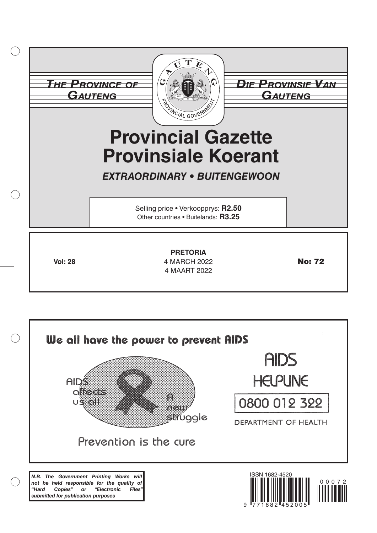|                | <b>THE PROVINCE OF</b><br>GAUTENG<br>POLINCIAL GOVERNME<br><b>Provincial Gazette</b><br><b>Provinsiale Koerant</b><br><b>EXTRAORDINARY • BUITENGEWOON</b><br>Selling price • Verkoopprys: R2.50<br>Other countries . Buitelands: R3.25 | <b><i>DIE PROVINSIE VAN</i></b><br>GAUTENG |
|----------------|----------------------------------------------------------------------------------------------------------------------------------------------------------------------------------------------------------------------------------------|--------------------------------------------|
| <b>Vol: 28</b> | <b>PRETORIA</b><br>4 MARCH 2022<br>4 MAART 2022                                                                                                                                                                                        | <b>No: 72</b>                              |



 $\left(\begin{array}{c}\right)$ 

9 771682 45200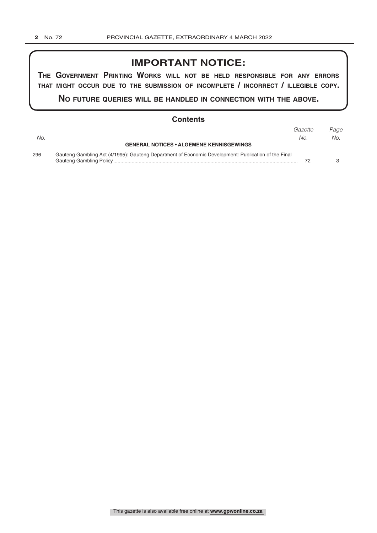### **IMPORTANT NOTICE:**

**The GovernmenT PrinTinG Works Will noT be held resPonsible for any errors ThaT miGhT occur due To The submission of incomPleTe / incorrecT / illeGible coPy.**

**no fuTure queries Will be handled in connecTion WiTh The above.**

### **Contents**

|     |                                                                                                     | Gazette | Page |
|-----|-----------------------------------------------------------------------------------------------------|---------|------|
| No. |                                                                                                     | No.     | No.  |
|     | <b>GENERAL NOTICES • ALGEMENE KENNISGEWINGS</b>                                                     |         |      |
| 296 | Gauteng Gambling Act (4/1995): Gauteng Department of Economic Development: Publication of the Final |         |      |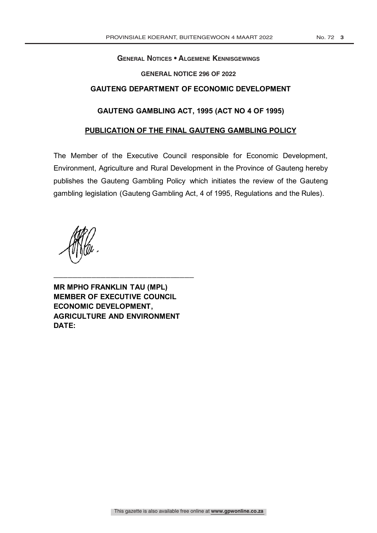#### **General Notices • Algemene Kennisgewings GAUTENG PROVINCIAL GOVERNMENT**

### **GENERAL NOTICE 296 OF 2022**

### **GAUTENG DEPARTMENT OF ECONOMIC DEVELOPMENT**

### **GAUTENG GAMBLING ACT, 1995 (ACT NO 4 OF 1995)**

### **PUBLICATION OF THE FINAL GAUTENG GAMBLING POLICY**

The Member of the Executive Council responsible for Economic Development, Environment, Agriculture and Rural Development in the Province of Gauteng hereby publishes the Gauteng Gambling Policy which initiates the review of the Gauteng gambling legislation (Gauteng Gambling Act, 4 of 1995, Regulations and the Rules).

**MR MPHO FRANKLIN TAU (MPL) MEMBER OF EXECUTIVE COUNCIL ECONOMIC DEVELOPMENT, AGRICULTURE AND ENVIRONMENT DATE:** 

\_\_\_\_\_\_\_\_\_\_\_\_\_\_\_\_\_\_\_\_\_\_\_\_\_\_\_\_\_\_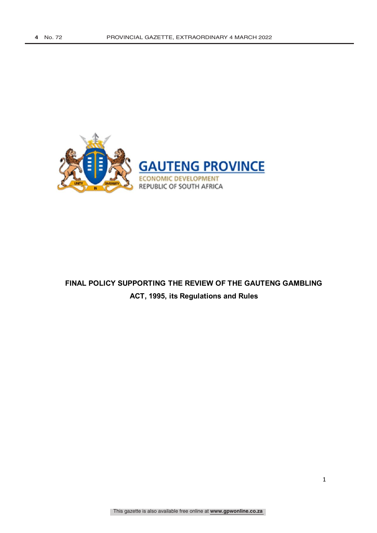

# **FINAL POLICY SUPPORTING THE REVIEW OF THE GAUTENG GAMBLING ACT, 1995, its Regulations and Rules**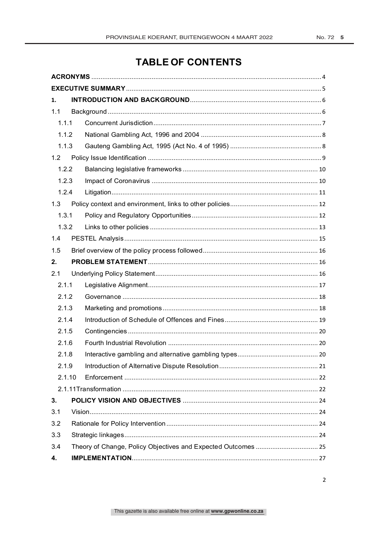# **TABLE OF CONTENTS**

| 1.     |  |  |
|--------|--|--|
| 1.1    |  |  |
| 1.1.1  |  |  |
| 1.1.2  |  |  |
| 1.1.3  |  |  |
| 1.2    |  |  |
| 1.2.2  |  |  |
| 1.2.3  |  |  |
| 1.2.4  |  |  |
| 1.3    |  |  |
| 1.3.1  |  |  |
| 1.3.2  |  |  |
| 1.4    |  |  |
| 1.5    |  |  |
| 2.     |  |  |
| 2.1    |  |  |
| 2.1.1  |  |  |
| 2.1.2  |  |  |
| 2.1.3  |  |  |
| 2.1.4  |  |  |
| 2.1.5  |  |  |
| 2.1.6  |  |  |
| 2.1.8  |  |  |
| 2.1.9  |  |  |
| 2.1.10 |  |  |
|        |  |  |
| 3.     |  |  |
| 3.1    |  |  |
| 3.2    |  |  |
| 3.3    |  |  |
| 3.4    |  |  |
| 4.     |  |  |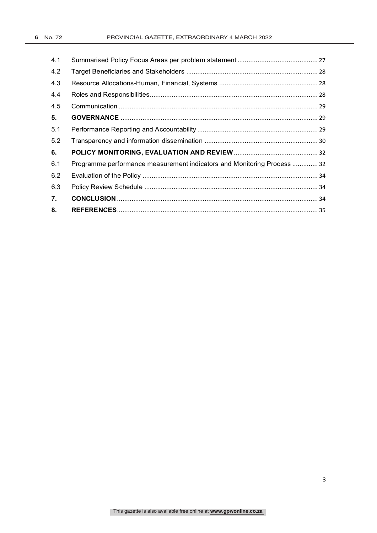| 4.1 |                                                                         |  |
|-----|-------------------------------------------------------------------------|--|
| 4.2 |                                                                         |  |
| 4.3 |                                                                         |  |
| 4.4 |                                                                         |  |
| 4.5 |                                                                         |  |
| 5.  |                                                                         |  |
| 5.1 |                                                                         |  |
| 5.2 |                                                                         |  |
| 6.  |                                                                         |  |
| 6.1 | Programme performance measurement indicators and Monitoring Process  32 |  |
| 6.2 |                                                                         |  |
| 6.3 |                                                                         |  |
| 7.  |                                                                         |  |
| 8.  |                                                                         |  |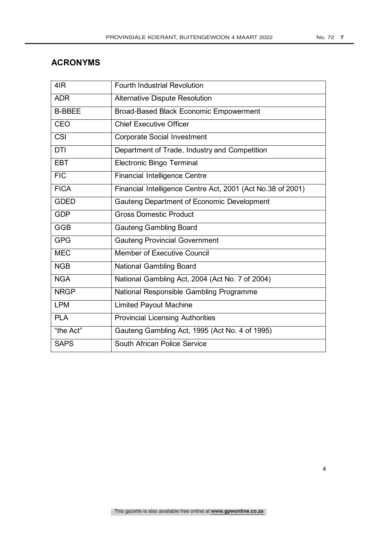## **ACRONYMS**

| 4IR           | <b>Fourth Industrial Revolution</b>                         |
|---------------|-------------------------------------------------------------|
| <b>ADR</b>    | <b>Alternative Dispute Resolution</b>                       |
| <b>B-BBEE</b> | Broad-Based Black Economic Empowerment                      |
| <b>CEO</b>    | <b>Chief Executive Officer</b>                              |
| <b>CSI</b>    | <b>Corporate Social Investment</b>                          |
| <b>DTI</b>    | Department of Trade, Industry and Competition               |
| <b>EBT</b>    | <b>Electronic Bingo Terminal</b>                            |
| <b>FIC</b>    | <b>Financial Intelligence Centre</b>                        |
| <b>FICA</b>   | Financial Intelligence Centre Act, 2001 (Act No.38 of 2001) |
| <b>GDED</b>   | Gauteng Department of Economic Development                  |
| <b>GDP</b>    | <b>Gross Domestic Product</b>                               |
| <b>GGB</b>    | <b>Gauteng Gambling Board</b>                               |
| <b>GPG</b>    | <b>Gauteng Provincial Government</b>                        |
| <b>MEC</b>    | <b>Member of Executive Council</b>                          |
| <b>NGB</b>    | National Gambling Board                                     |
| <b>NGA</b>    | National Gambling Act, 2004 (Act No. 7 of 2004)             |
| <b>NRGP</b>   | National Responsible Gambling Programme                     |
| <b>LPM</b>    | <b>Limited Payout Machine</b>                               |
| <b>PLA</b>    | <b>Provincial Licensing Authorities</b>                     |
| "the Act"     | Gauteng Gambling Act, 1995 (Act No. 4 of 1995)              |
| <b>SAPS</b>   | South African Police Service                                |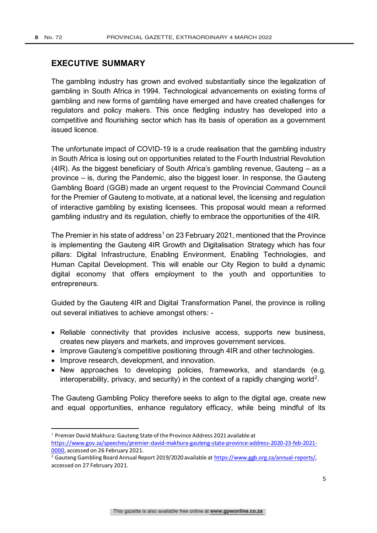### **EXECUTIVE SUMMARY**

The gambling industry has grown and evolved substantially since the legalization of gambling in South Africa in 1994. Technological advancements on existing forms of gambling and new forms of gambling have emerged and have created challenges for regulators and policy makers. This once fledgling industry has developed into a competitive and flourishing sector which has its basis of operation as a government issued licence.

The unfortunate impact of COVID-19 is a crude realisation that the gambling industry in South Africa is losing out on opportunities related to the Fourth Industrial Revolution (4IR). As the biggest beneficiary of South Africa's gambling revenue, Gauteng – as a province – is, during the Pandemic, also the biggest loser. In response, the Gauteng Gambling Board (GGB) made an urgent request to the Provincial Command Council for the Premier of Gauteng to motivate, at a national level, the licensing and regulation of interactive gambling by existing licensees. This proposal would mean a reformed gambling industry and its regulation, chiefly to embrace the opportunities of the 4IR.

The Premier in his state of address<sup>1</sup> on 23 February 2021, mentioned that the Province is implementing the Gauteng 4IR Growth and Digitalisation Strategy which has four pillars: Digital Infrastructure, Enabling Environment, Enabling Technologies, and Human Capital Development. This will enable our City Region to build a dynamic digital economy that offers employment to the youth and opportunities to entrepreneurs.

Guided by the Gauteng 4IR and Digital Transformation Panel, the province is rolling out several initiatives to achieve amongst others: -

- Reliable connectivity that provides inclusive access, supports new business, creates new players and markets, and improves government services.
- Improve Gauteng's competitive positioning through 4IR and other technologies.
- Improve research, development, and innovation.
- New approaches to developing policies, frameworks, and standards (e.g. interoperability, privacy, and security) in the context of a rapidly changing world<sup>2</sup>.

The Gauteng Gambling Policy therefore seeks to align to the digital age, create new and equal opportunities, enhance regulatory efficacy, while being mindful of its

<sup>&</sup>lt;sup>1</sup> Premier David Makhura: Gauteng State of the Province Address 2021 available at

https://www.gov.za/speeches/premier-david-makhura-gauteng-state-province-address-2020-23-feb-2021- 0000, accessed on 26 February 2021.

<sup>&</sup>lt;sup>2</sup> Gauteng Gambling Board Annual Report 2019/2020 available at https://www.ggb.org.za/annual-reports/, accessed on 27 February 2021.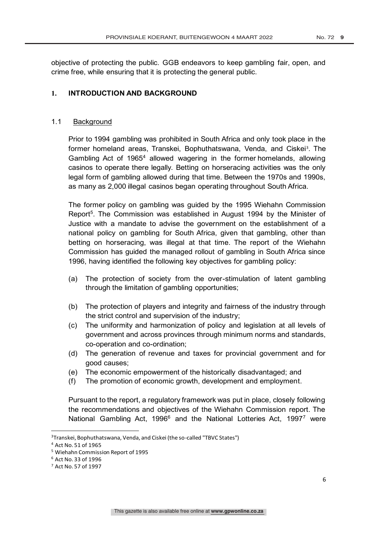objective of protecting the public. GGB endeavors to keep gambling fair, open, and crime free, while ensuring that it is protecting the general public.

### **1. INTRODUCTION AND BACKGROUND**

### 1.1 Background

Prior to 1994 gambling was prohibited in South Africa and only took place in the former homeland areas, Transkei, Bophuthatswana, Venda, and Ciskei<sup>3</sup>. The Gambling Act of 1965<sup>4</sup> allowed wagering in the former homelands, allowing casinos to operate there legally. Betting on horseracing activities was the only legal form of gambling allowed during that time. Between the 1970s and 1990s, as many as 2,000 illegal casinos began operating throughout South Africa.

The former policy on gambling was guided by the 1995 Wiehahn Commission Report<sup>5</sup>. The Commission was established in August 1994 by the Minister of Justice with a mandate to advise the government on the establishment of a national policy on gambling for South Africa, given that gambling, other than betting on horseracing, was illegal at that time. The report of the Wiehahn Commission has guided the managed rollout of gambling in South Africa since 1996, having identified the following key objectives for gambling policy:

- (a) The protection of society from the over-stimulation of latent gambling through the limitation of gambling opportunities;
- (b) The protection of players and integrity and fairness of the industry through the strict control and supervision of the industry;
- (c) The uniformity and harmonization of policy and legislation at all levels of government and across provinces through minimum norms and standards, co-operation and co-ordination;
- (d) The generation of revenue and taxes for provincial government and for good causes;
- (e) The economic empowerment of the historically disadvantaged; and
- (f) The promotion of economic growth, development and employment.

Pursuant to the report, a regulatory framework was put in place, closely following the recommendations and objectives of the Wiehahn Commission report. The National Gambling Act, 1996<sup>6</sup> and the National Lotteries Act, 1997<sup>7</sup> were

<sup>3</sup>Transkei, Bophuthatswana, Venda, and Ciskei (the so-called "TBVC States")

<sup>4</sup> Act No. 51 of 1965

<sup>5</sup> Wiehahn Commission Report of 1995

<sup>6</sup> Act No. 33 of 1996

<sup>7</sup> Act No. 57 of 1997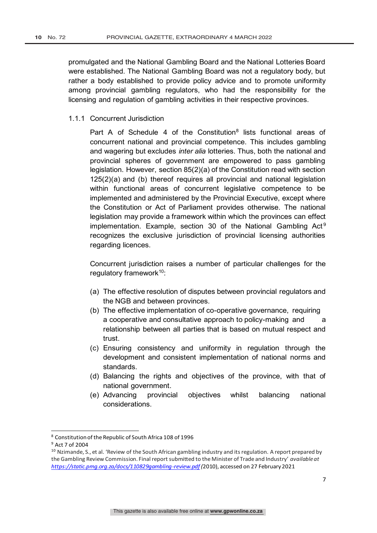promulgated and the National Gambling Board and the National Lotteries Board were established. The National Gambling Board was not a regulatory body, but rather a body established to provide policy advice and to promote uniformity among provincial gambling regulators, who had the responsibility for the licensing and regulation of gambling activities in their respective provinces.

1.1.1 Concurrent Jurisdiction

Part A of Schedule 4 of the Constitution<sup>8</sup> lists functional areas of concurrent national and provincial competence. This includes gambling and wagering but excludes *inter alia* lotteries. Thus, both the national and provincial spheres of government are empowered to pass gambling legislation. However, section 85(2)(a) of the Constitution read with section 125(2)(a) and (b) thereof requires all provincial and national legislation within functional areas of concurrent legislative competence to be implemented and administered by the Provincial Executive, except where the Constitution or Act of Parliament provides otherwise. The national legislation may provide a framework within which the provinces can effect implementation. Example, section 30 of the National Gambling  $Act<sup>9</sup>$ recognizes the exclusive jurisdiction of provincial licensing authorities regarding licences.

Concurrent jurisdiction raises a number of particular challenges for the regulatory framework $10$ :

- (a) The effective resolution of disputes between provincial regulators and the NGB and between provinces.
- (b) The effective implementation of co-operative governance, requiring a cooperative and consultative approach to policy-making and a relationship between all parties that is based on mutual respect and trust.
- (c) Ensuring consistency and uniformity in regulation through the development and consistent implementation of national norms and standards.
- (d) Balancing the rights and objectives of the province, with that of national government.
- (e) Advancing provincial objectives whilst balancing national considerations.

<sup>8</sup> Constitution of the Republic of South Africa 108 of 1996

<sup>9</sup> Act 7 of 2004

<sup>&</sup>lt;sup>10</sup> Nzimande, S., et al. 'Review of the South African gambling industry and its regulation. A report prepared by the Gambling Review Commission. Final report submitted to the Minister of Trade and Industry' *available at https://static.pmg.org.za/docs/110829gambling-review.pdf (*2010), accessed on 27 February 2021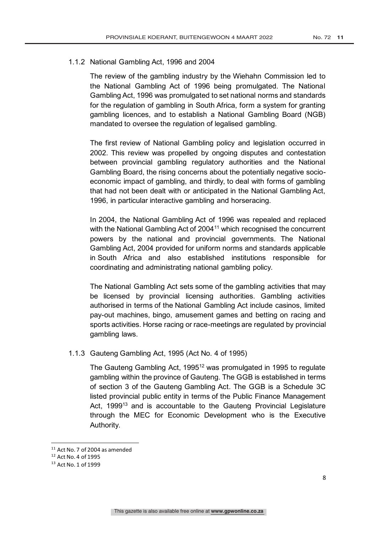### 1.1.2 National Gambling Act, 1996 and 2004

The review of the gambling industry by the Wiehahn Commission led to the National Gambling Act of 1996 being promulgated. The National Gambling Act, 1996 was promulgated to set national norms and standards for the regulation of gambling in South Africa, form a system for granting gambling licences, and to establish a National Gambling Board (NGB) mandated to oversee the regulation of legalised gambling.

The first review of National Gambling policy and legislation occurred in 2002. This review was propelled by ongoing disputes and contestation between provincial gambling regulatory authorities and the National Gambling Board, the rising concerns about the potentially negative socioeconomic impact of gambling, and thirdly, to deal with forms of gambling that had not been dealt with or anticipated in the National Gambling Act, 1996, in particular interactive gambling and horseracing.

In 2004, the National Gambling Act of 1996 was repealed and replaced with the National Gambling Act of 2004<sup>11</sup> which recognised the concurrent powers by the national and provincial governments. The National Gambling Act, 2004 provided for uniform norms and standards applicable in South Africa and also established institutions responsible for coordinating and administrating national gambling policy.

The National Gambling Act sets some of the gambling activities that may be licensed by provincial licensing authorities. Gambling activities authorised in terms of the National Gambling Act include casinos, limited pay-out machines, bingo, amusement games and betting on racing and sports activities. Horse racing or race-meetings are regulated by provincial gambling laws.

### 1.1.3 Gauteng Gambling Act, 1995 (Act No. 4 of 1995)

The Gauteng Gambling Act, 1995<sup>12</sup> was promulgated in 1995 to regulate gambling within the province of Gauteng. The GGB is established in terms of section 3 of the Gauteng Gambling Act. The GGB is a Schedule 3C listed provincial public entity in terms of the Public Finance Management Act, 1999<sup>13</sup> and is accountable to the Gauteng Provincial Legislature through the MEC for Economic Development who is the Executive Authority.

 $11$  Act No. 7 of 2004 as amended

<sup>12</sup> Act No. 4 of 1995

<sup>13</sup> Act No. 1 of 1999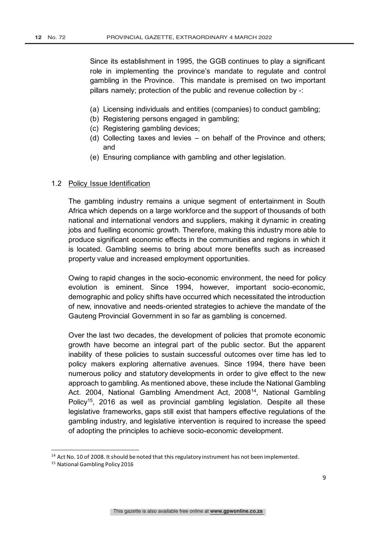Since its establishment in 1995, the GGB continues to play a significant role in implementing the province's mandate to regulate and control gambling in the Province. This mandate is premised on two important pillars namely; protection of the public and revenue collection by -:

- (a) Licensing individuals and entities (companies) to conduct gambling;
- (b) Registering persons engaged in gambling;
- (c) Registering gambling devices;
- (d) Collecting taxes and levies on behalf of the Province and others; and
- (e) Ensuring compliance with gambling and other legislation.

#### 1.2 Policy Issue Identification

The gambling industry remains a unique segment of entertainment in South Africa which depends on a large workforce and the support of thousands of both national and international vendors and suppliers, making it dynamic in creating jobs and fuelling economic growth. Therefore, making this industry more able to produce significant economic effects in the communities and regions in which it is located. Gambling seems to bring about more benefits such as increased property value and increased employment opportunities.

Owing to rapid changes in the socio-economic environment, the need for policy evolution is eminent. Since 1994, however, important socio-economic, demographic and policy shifts have occurred which necessitated the introduction of new, innovative and needs-oriented strategies to achieve the mandate of the Gauteng Provincial Government in so far as gambling is concerned.

Over the last two decades, the development of policies that promote economic growth have become an integral part of the public sector. But the apparent inability of these policies to sustain successful outcomes over time has led to policy makers exploring alternative avenues. Since 1994, there have been numerous policy and statutory developments in order to give effect to the new approach to gambling. As mentioned above, these include the National Gambling Act. 2004, National Gambling Amendment Act, 2008<sup>14</sup>, National Gambling Policy<sup>15</sup>, 2016 as well as provincial gambling legislation. Despite all these legislative frameworks, gaps still exist that hampers effective regulations of the gambling industry, and legislative intervention is required to increase the speed of adopting the principles to achieve socio-economic development.

<sup>&</sup>lt;sup>14</sup> Act No. 10 of 2008. It should be noted that this regulatory instrument has not been implemented.

<sup>15</sup> National Gambling Policy 2016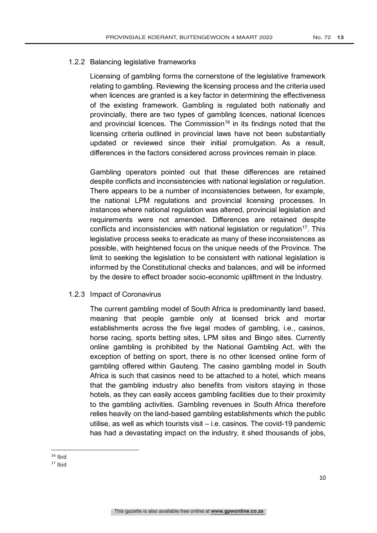### 1.2.2 Balancing legislative frameworks

Licensing of gambling forms the cornerstone of the legislative framework relating to gambling. Reviewing the licensing process and the criteria used when licences are granted is a key factor in determining the effectiveness of the existing framework. Gambling is regulated both nationally and provincially, there are two types of gambling licences, national licences and provincial licences. The Commission<sup>16</sup> in its findings noted that the licensing criteria outlined in provincial laws have not been substantially updated or reviewed since their initial promulgation. As a result, differences in the factors considered across provinces remain in place.

Gambling operators pointed out that these differences are retained despite conflicts and inconsistencies with national legislation or regulation. There appears to be a number of inconsistencies between, for example, the national LPM regulations and provincial licensing processes. In instances where national regulation was altered, provincial legislation and requirements were not amended. Differences are retained despite conflicts and inconsistencies with national legislation or regulation<sup>17</sup>. This legislative process seeks to eradicate as many of these inconsistences as possible, with heightened focus on the unique needs of the Province. The limit to seeking the legislation to be consistent with national legislation is informed by the Constitutional checks and balances, and will be informed by the desire to effect broader socio-economic upliftment in the Industry.

### 1.2.3 Impact of Coronavirus

The current gambling model of South Africa is predominantly land based, meaning that people gamble only at licensed brick and mortar establishments across the five legal modes of gambling, i.e., casinos, horse racing, sports betting sites, LPM sites and Bingo sites. Currently online gambling is prohibited by the National Gambling Act, with the exception of betting on sport, there is no other licensed online form of gambling offered within Gauteng. The casino gambling model in South Africa is such that casinos need to be attached to a hotel, which means that the gambling industry also benefits from visitors staying in those hotels, as they can easily access gambling facilities due to their proximity to the gambling activities. Gambling revenues in South Africa therefore relies heavily on the land-based gambling establishments which the public utilise, as well as which tourists visit – i.e. casinos. The covid-19 pandemic has had a devastating impact on the industry, it shed thousands of jobs,

 $16$  Ihid

<sup>17</sup> Ibid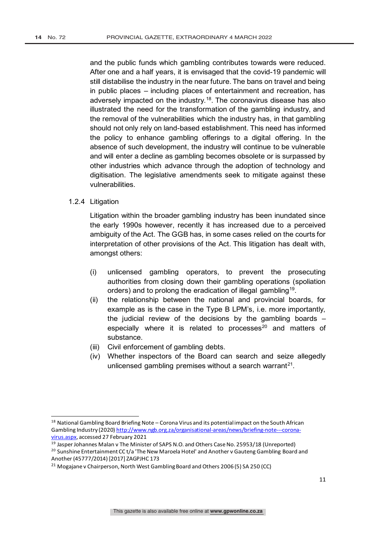and the public funds which gambling contributes towards were reduced. After one and a half years, it is envisaged that the covid-19 pandemic will still distabilise the industry in the near future. The bans on travel and being in public places – including places of entertainment and recreation, has adversely impacted on the industry.<sup>18</sup>. The coronavirus disease has also illustrated the need for the transformation of the gambling industry, and the removal of the vulnerabilities which the industry has, in that gambling should not only rely on land-based establishment. This need has informed the policy to enhance gambling offerings to a digital offering. In the absence of such development, the industry will continue to be vulnerable and will enter a decline as gambling becomes obsolete or is surpassed by other industries which advance through the adoption of technology and digitisation. The legislative amendments seek to mitigate against these vulnerabilities.

### 1.2.4 Litigation

Litigation within the broader gambling industry has been inundated since the early 1990s however, recently it has increased due to a perceived ambiguity of the Act. The GGB has, in some cases relied on the courts for interpretation of other provisions of the Act. This litigation has dealt with, amongst others:

- (i) unlicensed gambling operators, to prevent the prosecuting authorities from closing down their gambling operations (spoliation orders) and to prolong the eradication of illegal gambling19.
- (ii) the relationship between the national and provincial boards, for example as is the case in the Type B LPM's, i.e. more importantly, the judicial review of the decisions by the gambling boards – especially where it is related to processes $20$  and matters of substance.
- (iii) Civil enforcement of gambling debts.
- (iv) Whether inspectors of the Board can search and seize allegedly unlicensed gambling premises without a search warrant<sup>21</sup>.

<sup>&</sup>lt;sup>18</sup> National Gambling Board Briefing Note – Corona Virus and its potential impact on the South African Gambling Industry (2020) http://www.ngb.org.za/organisational-areas/news/briefing-note---coronavirus.aspx, accessed 27 February 2021

<sup>&</sup>lt;sup>19</sup> Jasper Johannes Malan v The Minister of SAPS N.O. and Others Case No. 25953/18 (Unreported)

<sup>&</sup>lt;sup>20</sup> Sunshine Entertainment CC t/a 'The New Maroela Hotel' and Another v Gauteng Gambling Board and Another (45777/2014) [2017] ZAGPJHC 173

<sup>&</sup>lt;sup>21</sup> Mogajane v Chairperson, North West Gambling Board and Others 2006 (5) SA 250 (CC)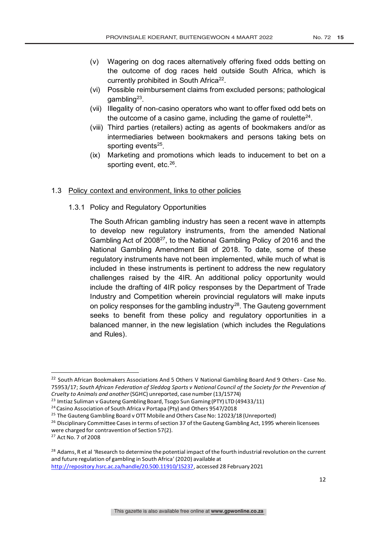- (v) Wagering on dog races alternatively offering fixed odds betting on the outcome of dog races held outside South Africa, which is currently prohibited in South Africa<sup>22</sup>.
- (vi) Possible reimbursement claims from excluded persons; pathological gambling23.
- (vii) Illegality of non-casino operators who want to offer fixed odd bets on the outcome of a casino game, including the game of roulette $24$ .
- (viii) Third parties (retailers) acting as agents of bookmakers and/or as intermediaries between bookmakers and persons taking bets on sporting events $25$ .
- (ix) Marketing and promotions which leads to inducement to bet on a sporting event, etc.<sup>26</sup>.

### 1.3 Policy context and environment, links to other policies

1.3.1 Policy and Regulatory Opportunities

The South African gambling industry has seen a recent wave in attempts to develop new regulatory instruments, from the amended National Gambling Act of 2008<sup>27</sup>, to the National Gambling Policy of 2016 and the National Gambling Amendment Bill of 2018. To date, some of these regulatory instruments have not been implemented, while much of what is included in these instruments is pertinent to address the new regulatory challenges raised by the 4IR. An additional policy opportunity would include the drafting of 4IR policy responses by the Department of Trade Industry and Competition wherein provincial regulators will make inputs on policy responses for the gambling industry $28$ . The Gauteng government seeks to benefit from these policy and regulatory opportunities in a balanced manner, in the new legislation (which includes the Regulations and Rules).

<sup>&</sup>lt;sup>22</sup> South African Bookmakers Associations And 5 Others V National Gambling Board And 9 Others - Case No. 75953/17; *South African Federation of Sleddog Sports v National Council of the Society for the Prevention of Cruelty to Animals and another*(SGHC) unreported, case number (13/15774)

 $^{23}$  Imtiaz Suliman v Gauteng Gambling Board, Tsogo Sun Gaming (PTY) LTD (49433/11)

<sup>24</sup> Casino Association of South Africa v Portapa (Pty) and Others 9547/2018

<sup>&</sup>lt;sup>25</sup> The Gauteng Gambling Board v OTT Mobile and Others Case No: 12023/18 (Unreported)

<sup>&</sup>lt;sup>26</sup> Disciplinary Committee Cases in terms of section 37 of the Gauteng Gambling Act, 1995 wherein licensees were charged for contravention of Section 57(2).

<sup>27</sup> Act No. 7 of 2008

<sup>&</sup>lt;sup>28</sup> Adams, R et al 'Research to determine the potential impact of the fourth industrial revolution on the current and future regulation of gambling in South Africa' (2020) available at http://repository.hsrc.ac.za/handle/20.500.11910/15237, accessed 28 February 2021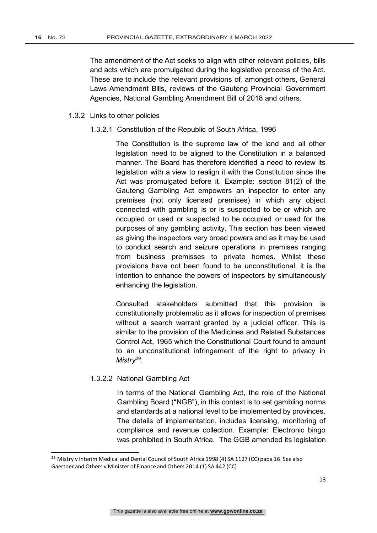The amendment of the Act seeks to align with other relevant policies, bills and acts which are promulgated during the legislative process of the Act. These are to include the relevant provisions of, amongst others, General Laws Amendment Bills, reviews of the Gauteng Provincial Government Agencies, National Gambling Amendment Bill of 2018 and others.

#### 1.3.2 Links to other policies

1.3.2.1 Constitution of the Republic of South Africa, 1996

The Constitution is the supreme law of the land and all other legislation need to be aligned to the Constitution in a balanced manner. The Board has therefore identified a need to review its legislation with a view to realign it with the Constitution since the Act was promulgated before it. Example: section 81(2) of the Gauteng Gambling Act empowers an inspector to enter any premises (not only licensed premises) in which any object connected with gambling is or is suspected to be or which are occupied or used or suspected to be occupied or used for the purposes of any gambling activity. This section has been viewed as giving the inspectors very broad powers and as it may be used to conduct search and seizure operations in premises ranging from business premisses to private homes. Whilst these provisions have not been found to be unconstitutional, it is the intention to enhance the powers of inspectors by simultaneously enhancing the legislation.

Consulted stakeholders submitted that this provision is constitutionally problematic as it allows for inspection of premises without a search warrant granted by a judicial officer. This is similar to the provision of the Medicines and Related Substances Control Act, 1965 which the Constitutional Court found to amount to an unconstitutional infringement of the right to privacy in *Mistry*29.

### 1.3.2.2 National Gambling Act

In terms of the National Gambling Act, the role of the National Gambling Board ("NGB"), in this context is to set gambling norms and standards at a national level to be implemented by provinces. The details of implementation, includes licensing, monitoring of compliance and revenue collection. Example: Electronic bingo was prohibited in South Africa. The GGB amended its legislation

<sup>&</sup>lt;sup>29</sup> Mistry v Interim Medical and Dental Council of South Africa 1998 (4) SA 1127 (CC) papa 16. See also Gaertner and Others v Minister of Finance and Others 2014 (1) SA 442 (CC)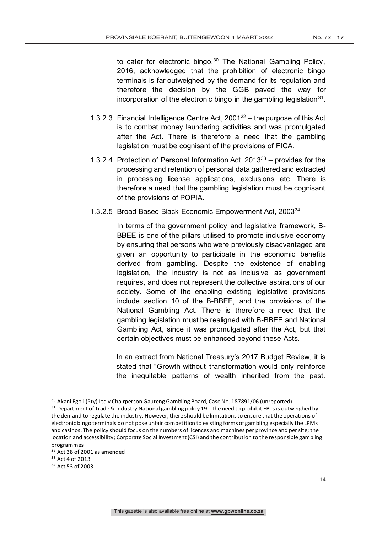to cater for electronic bingo.<sup>30</sup> The National Gambling Policy, 2016, acknowledged that the prohibition of electronic bingo terminals is far outweighed by the demand for its regulation and therefore the decision by the GGB paved the way for incorporation of the electronic bingo in the gambling legislation  $31$ .

- 1.3.2.3 Financial Intelligence Centre Act,  $2001^{32}$  the purpose of this Act is to combat money laundering activities and was promulgated after the Act. There is therefore a need that the gambling legislation must be cognisant of the provisions of FICA.
- 1.3.2.4 Protection of Personal Information Act,  $2013^{33}$  provides for the processing and retention of personal data gathered and extracted in processing license applications, exclusions etc. There is therefore a need that the gambling legislation must be cognisant of the provisions of POPIA.
- 1.3.2.5 Broad Based Black Economic Empowerment Act, 200334

In terms of the government policy and legislative framework, B-BBEE is one of the pillars utilised to promote inclusive economy by ensuring that persons who were previously disadvantaged are given an opportunity to participate in the economic benefits derived from gambling. Despite the existence of enabling legislation, the industry is not as inclusive as government requires, and does not represent the collective aspirations of our society. Some of the enabling existing legislative provisions include section 10 of the B-BBEE, and the provisions of the National Gambling Act. There is therefore a need that the gambling legislation must be realigned with B-BBEE and National Gambling Act, since it was promulgated after the Act, but that certain objectives must be enhanced beyond these Acts.

In an extract from National Treasury's 2017 Budget Review, it is stated that "Growth without transformation would only reinforce the inequitable patterns of wealth inherited from the past.

<sup>&</sup>lt;sup>30</sup> Akani Egoli (Pty) Ltd v Chairperson Gauteng Gambling Board, Case No. 187891/06 (unreported)

 $31$  Department of Trade & Industry National gambling policy 19 - The need to prohibit EBTs is outweighed by the demand to regulate the industry. However, there should be limitations to ensure that the operations of electronic bingo terminals do not pose unfair competition to existing forms of gambling especially the LPMs and casinos. The policy should focus on the numbers of licences and machines per province and per site; the location and accessibility; Corporate Social Investment (CSI) and the contribution to the responsible gambling programmes

<sup>&</sup>lt;sup>32</sup> Act 38 of 2001 as amended

<sup>33</sup> Act 4 of 2013

<sup>34</sup> Act 53 of 2003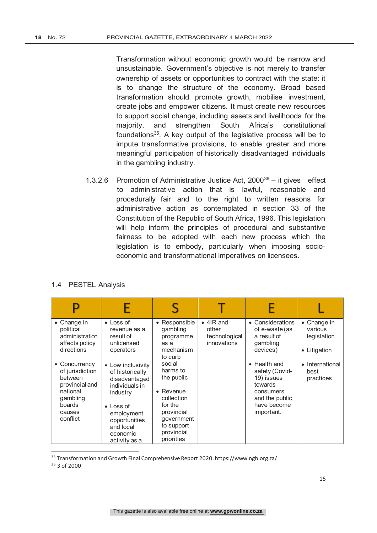Transformation without economic growth would be narrow and unsustainable. Government's objective is not merely to transfer ownership of assets or opportunities to contract with the state: it is to change the structure of the economy. Broad based transformation should promote growth, mobilise investment, create jobs and empower citizens. It must create new resources to support social change, including assets and livelihoods for the majority, and strengthen South Africa's constitutional foundations<sup>35</sup>. A key output of the legislative process will be to impute transformative provisions, to enable greater and more meaningful participation of historically disadvantaged individuals in the gambling industry.

1.3.2.6 Promotion of Administrative Justice Act,  $2000^{36} -$  it gives effect to administrative action that is lawful, reasonable and procedurally fair and to the right to written reasons for administrative action as contemplated in section 33 of the Constitution of the Republic of South Africa, 1996. This legislation will help inform the principles of procedural and substantive fairness to be adopted with each new process which the legislation is to embody, particularly when imposing socioeconomic and transformational imperatives on licensees.

### 1.4 PESTEL Analysis

| $\bullet$ Change in<br>political<br>administration<br>affects policy<br>directions<br>• Concurrency<br>of jurisdiction<br>between<br>provincial and<br>national<br>gambling<br>boards<br>causes<br>conflict | $\bullet$ Loss of<br>revenue as a<br>result of<br>unlicensed<br>operators<br>• Low inclusivity<br>of historically<br>disadvantaged<br>individuals in<br>industry<br>$\bullet$ Loss of<br>employment<br>opportunities<br>and local<br>economic<br>activity as a | • Responsible<br>gambling<br>programme<br>as a<br>mechanism<br>to curb<br>social<br>harms to<br>the public<br>$\bullet$ Revenue<br>collection<br>for the<br>provincial<br>government<br>to support<br>provincial<br>priorities | $\bullet$ 4IR and<br>other<br>technological<br>innovations | • Considerations<br>of e-waste (as<br>a result of<br>gambling<br>devices)<br>• Health and<br>safety (Covid-<br>19) issues<br>towards<br>consumers<br>and the public<br>have become<br>important. | $\bullet$ Change in<br>various<br>legislation<br>• Litigation<br>• International<br>best<br>practices |
|-------------------------------------------------------------------------------------------------------------------------------------------------------------------------------------------------------------|----------------------------------------------------------------------------------------------------------------------------------------------------------------------------------------------------------------------------------------------------------------|--------------------------------------------------------------------------------------------------------------------------------------------------------------------------------------------------------------------------------|------------------------------------------------------------|--------------------------------------------------------------------------------------------------------------------------------------------------------------------------------------------------|-------------------------------------------------------------------------------------------------------|

<sup>35</sup> Transformation and Growth Final Comprehensive Report 2020. https://www.ngb.org.za/

<sup>36</sup> 3 of 2000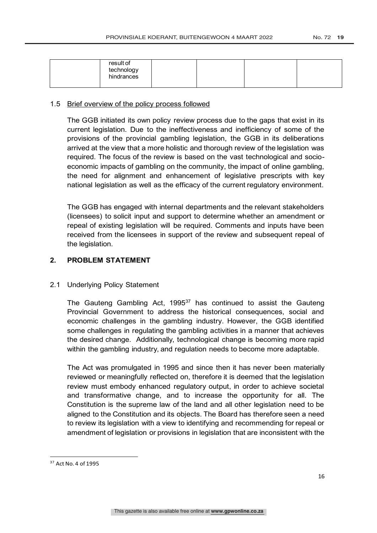| result of<br>technology<br>hindrances |  |  |
|---------------------------------------|--|--|
|                                       |  |  |

### 1.5 Brief overview of the policy process followed

The GGB initiated its own policy review process due to the gaps that exist in its current legislation. Due to the ineffectiveness and inefficiency of some of the provisions of the provincial gambling legislation, the GGB in its deliberations arrived at the view that a more holistic and thorough review of the legislation was required. The focus of the review is based on the vast technological and socioeconomic impacts of gambling on the community, the impact of online gambling, the need for alignment and enhancement of legislative prescripts with key national legislation as well as the efficacy of the current regulatory environment.

The GGB has engaged with internal departments and the relevant stakeholders (licensees) to solicit input and support to determine whether an amendment or repeal of existing legislation will be required. Comments and inputs have been received from the licensees in support of the review and subsequent repeal of the legislation.

### **2. PROBLEM STATEMENT**

### 2.1 Underlying Policy Statement

The Gauteng Gambling Act, 1995<sup>37</sup> has continued to assist the Gauteng Provincial Government to address the historical consequences, social and economic challenges in the gambling industry. However, the GGB identified some challenges in regulating the gambling activities in a manner that achieves the desired change. Additionally, technological change is becoming more rapid within the gambling industry, and regulation needs to become more adaptable.

The Act was promulgated in 1995 and since then it has never been materially reviewed or meaningfully reflected on, therefore it is deemed that the legislation review must embody enhanced regulatory output, in order to achieve societal and transformative change, and to increase the opportunity for all. The Constitution is the supreme law of the land and all other legislation need to be aligned to the Constitution and its objects. The Board has therefore seen a need to review its legislation with a view to identifying and recommending for repeal or amendment of legislation or provisions in legislation that are inconsistent with the

<sup>37</sup> Act No. 4 of 1995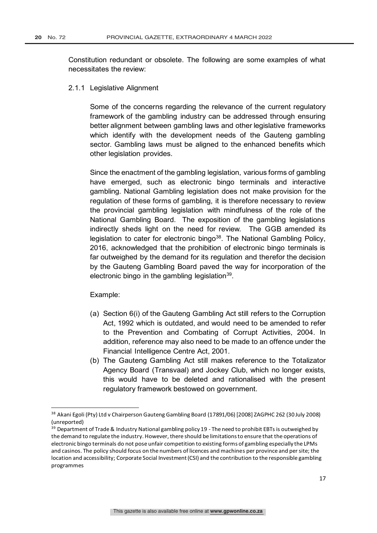Constitution redundant or obsolete. The following are some examples of what necessitates the review:

2.1.1 Legislative Alignment

Some of the concerns regarding the relevance of the current regulatory framework of the gambling industry can be addressed through ensuring better alignment between gambling laws and other legislative frameworks which identify with the development needs of the Gauteng gambling sector. Gambling laws must be aligned to the enhanced benefits which other legislation provides.

Since the enactment of the gambling legislation, various forms of gambling have emerged, such as electronic bingo terminals and interactive gambling. National Gambling legislation does not make provision for the regulation of these forms of gambling, it is therefore necessary to review the provincial gambling legislation with mindfulness of the role of the National Gambling Board. The exposition of the gambling legislations indirectly sheds light on the need for review. The GGB amended its legislation to cater for electronic bingo<sup>38</sup>. The National Gambling Policy, 2016, acknowledged that the prohibition of electronic bingo terminals is far outweighed by the demand for its regulation and therefor the decision by the Gauteng Gambling Board paved the way for incorporation of the electronic bingo in the gambling legislation $39$ .

Example:

- (a) Section 6(i) of the Gauteng Gambling Act still refers to the Corruption Act, 1992 which is outdated, and would need to be amended to refer to the Prevention and Combating of Corrupt Activities, 2004. In addition, reference may also need to be made to an offence under the Financial Intelligence Centre Act, 2001.
- (b) The Gauteng Gambling Act still makes reference to the Totalizator Agency Board (Transvaal) and Jockey Club, which no longer exists, this would have to be deleted and rationalised with the present regulatory framework bestowed on government.

<sup>&</sup>lt;sup>38</sup> Akani Egoli (Pty) Ltd v Chairperson Gauteng Gambling Board (17891/06) [2008] ZAGPHC 262 (30 July 2008) (unreported)

<sup>&</sup>lt;sup>39</sup> Department of Trade & Industry National gambling policy 19 - The need to prohibit EBTs is outweighed by the demand to regulate the industry. However, there should be limitations to ensure that the operations of electronic bingo terminals do not pose unfair competition to existing forms of gambling especially the LPMs and casinos. The policy should focus on the numbers of licences and machines per province and per site; the location and accessibility; Corporate Social Investment (CSI) and the contribution to the responsible gambling programmes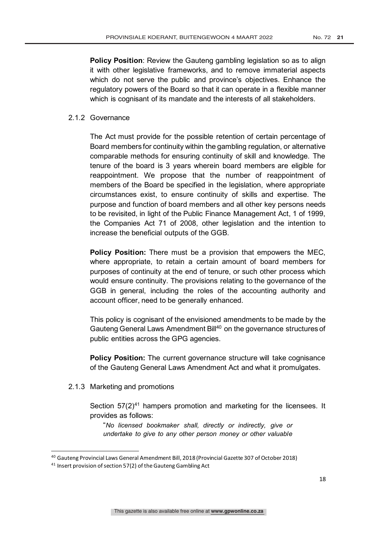**Policy Position:** Review the Gauteng gambling legislation so as to align it with other legislative frameworks, and to remove immaterial aspects which do not serve the public and province's objectives. Enhance the regulatory powers of the Board so that it can operate in a flexible manner which is cognisant of its mandate and the interests of all stakeholders.

### 2.1.2 Governance

The Act must provide for the possible retention of certain percentage of Board members for continuity within the gambling regulation, or alternative comparable methods for ensuring continuity of skill and knowledge. The tenure of the board is 3 years wherein board members are eligible for reappointment. We propose that the number of reappointment of members of the Board be specified in the legislation, where appropriate circumstances exist, to ensure continuity of skills and expertise. The purpose and function of board members and all other key persons needs to be revisited, in light of the Public Finance Management Act, 1 of 1999, the Companies Act 71 of 2008, other legislation and the intention to increase the beneficial outputs of the GGB.

**Policy Position:** There must be a provision that empowers the MEC, where appropriate, to retain a certain amount of board members for purposes of continuity at the end of tenure, or such other process which would ensure continuity. The provisions relating to the governance of the GGB in general, including the roles of the accounting authority and account officer, need to be generally enhanced.

This policy is cognisant of the envisioned amendments to be made by the Gauteng General Laws Amendment Bill<sup>40</sup> on the governance structures of public entities across the GPG agencies.

**Policy Position:** The current governance structure will take cognisance of the Gauteng General Laws Amendment Act and what it promulgates.

### 2.1.3 Marketing and promotions

Section  $57(2)^{41}$  hampers promotion and marketing for the licensees. It provides as follows:

"*No licensed bookmaker shall, directly or indirectly, give or undertake to give to any other person money or other valuable* 

<sup>40</sup> Gauteng Provincial Laws General Amendment Bill, 2018 (Provincial Gazette 307 of October 2018)

<sup>&</sup>lt;sup>41</sup> Insert provision of section 57(2) of the Gauteng Gambling Act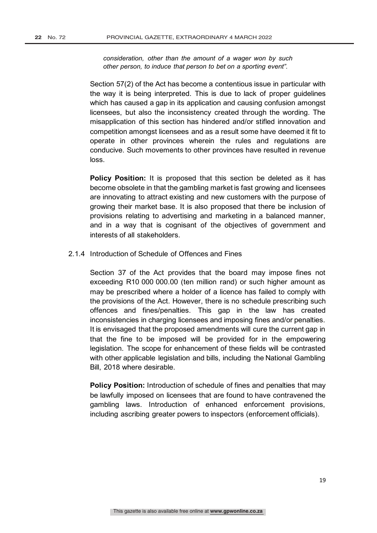*consideration, other than the amount of a wager won by such other person, to induce that person to bet on a sporting event".*

Section 57(2) of the Act has become a contentious issue in particular with the way it is being interpreted. This is due to lack of proper guidelines which has caused a gap in its application and causing confusion amongst licensees, but also the inconsistency created through the wording. The misapplication of this section has hindered and/or stifled innovation and competition amongst licensees and as a result some have deemed it fit to operate in other provinces wherein the rules and regulations are conducive. Such movements to other provinces have resulted in revenue loss.

**Policy Position:** It is proposed that this section be deleted as it has become obsolete in that the gambling market is fast growing and licensees are innovating to attract existing and new customers with the purpose of growing their market base. It is also proposed that there be inclusion of provisions relating to advertising and marketing in a balanced manner, and in a way that is cognisant of the objectives of government and interests of all stakeholders.

### 2.1.4 Introduction of Schedule of Offences and Fines

Section 37 of the Act provides that the board may impose fines not exceeding R10 000 000.00 (ten million rand) or such higher amount as may be prescribed where a holder of a licence has failed to comply with the provisions of the Act. However, there is no schedule prescribing such offences and fines/penalties. This gap in the law has created inconsistencies in charging licensees and imposing fines and/or penalties. It is envisaged that the proposed amendments will cure the current gap in that the fine to be imposed will be provided for in the empowering legislation. The scope for enhancement of these fields will be contrasted with other applicable legislation and bills, including the National Gambling Bill, 2018 where desirable.

**Policy Position:** Introduction of schedule of fines and penalties that may be lawfully imposed on licensees that are found to have contravened the gambling laws. Introduction of enhanced enforcement provisions, including ascribing greater powers to inspectors (enforcement officials).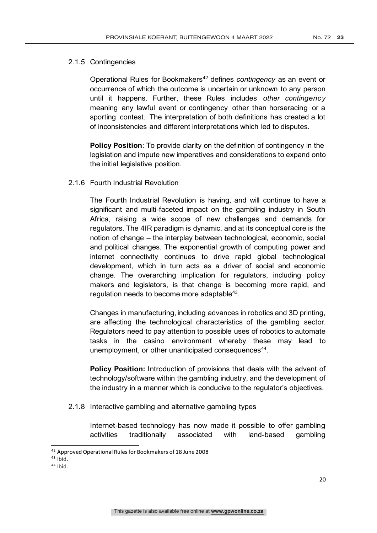### 2.1.5 Contingencies

Operational Rules for Bookmakers<sup>42</sup> defines *contingency* as an event or occurrence of which the outcome is uncertain or unknown to any person until it happens. Further, these Rules includes *other contingency* meaning any lawful event or contingency other than horseracing or a sporting contest. The interpretation of both definitions has created a lot of inconsistencies and different interpretations which led to disputes.

**Policy Position**: To provide clarity on the definition of contingency in the legislation and impute new imperatives and considerations to expand onto the initial legislative position.

### 2.1.6 Fourth Industrial Revolution

The Fourth Industrial Revolution is having, and will continue to have a significant and multi-faceted impact on the gambling industry in South Africa, raising a wide scope of new challenges and demands for regulators. The 4IR paradigm is dynamic, and at its conceptual core is the notion of change – the interplay between technological, economic, social and political changes. The exponential growth of computing power and internet connectivity continues to drive rapid global technological development, which in turn acts as a driver of social and economic change. The overarching implication for regulators, including policy makers and legislators, is that change is becoming more rapid, and regulation needs to become more adaptable<sup>43</sup>.

Changes in manufacturing, including advances in robotics and 3D printing, are affecting the technological characteristics of the gambling sector. Regulators need to pay attention to possible uses of robotics to automate tasks in the casino environment whereby these may lead to unemployment, or other unanticipated consequences<sup>44</sup>.

**Policy Position:** Introduction of provisions that deals with the advent of technology/software within the gambling industry, and the development of the industry in a manner which is conducive to the regulator's objectives.

### 2.1.8 Interactive gambling and alternative gambling types

Internet-based technology has now made it possible to offer gambling activities traditionally associated with land-based gambling

<sup>44</sup> Ibid.

<sup>42</sup> Approved Operational Rules for Bookmakers of 18 June 2008

 $43$  Ibid.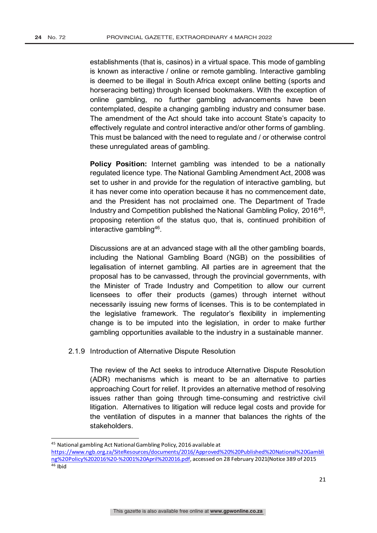establishments (that is, casinos) in a virtual space. This mode of gambling is known as interactive / online or remote gambling. Interactive gambling is deemed to be illegal in South Africa except online betting (sports and horseracing betting) through licensed bookmakers. With the exception of online gambling, no further gambling advancements have been contemplated, despite a changing gambling industry and consumer base. The amendment of the Act should take into account State's capacity to effectively regulate and control interactive and/or other forms of gambling. This must be balanced with the need to regulate and / or otherwise control these unregulated areas of gambling.

**Policy Position:** Internet gambling was intended to be a nationally regulated licence type. The National Gambling Amendment Act, 2008 was set to usher in and provide for the regulation of interactive gambling, but it has never come into operation because it has no commencement date, and the President has not proclaimed one. The Department of Trade Industry and Competition published the National Gambling Policy, 2016<sup>45</sup>, proposing retention of the status quo, that is, continued prohibition of interactive gambling<sup>46</sup>.

Discussions are at an advanced stage with all the other gambling boards, including the National Gambling Board (NGB) on the possibilities of legalisation of internet gambling. All parties are in agreement that the proposal has to be canvassed, through the provincial governments, with the Minister of Trade Industry and Competition to allow our current licensees to offer their products (games) through internet without necessarily issuing new forms of licenses. This is to be contemplated in the legislative framework. The regulator's flexibility in implementing change is to be imputed into the legislation, in order to make further gambling opportunities available to the industry in a sustainable manner.

### 2.1.9 Introduction of Alternative Dispute Resolution

The review of the Act seeks to introduce Alternative Dispute Resolution (ADR) mechanisms which is meant to be an alternative to parties approaching Court for relief. It provides an alternative method of resolving issues rather than going through time-consuming and restrictive civil litigation. Alternatives to litigation will reduce legal costs and provide for the ventilation of disputes in a manner that balances the rights of the stakeholders.

<sup>45</sup> National gambling Act National Gambling Policy, 2016 available at

https://www.ngb.org.za/SiteResources/documents/2016/Approved%20%20Published%20National%20Gambli ng%20Policy%202016%20-%2001%20April%202016.pdf, accessed on 28 February 2021(Notice 389 of 2015  $46$  Ibid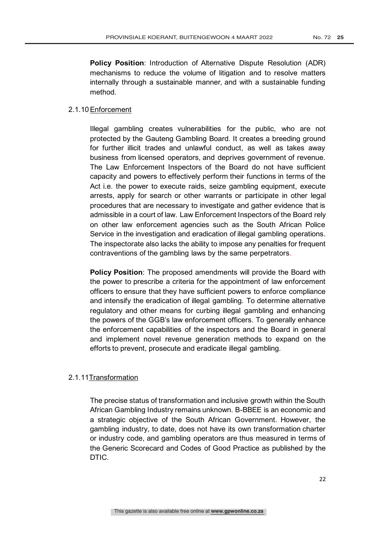**Policy Position**: Introduction of Alternative Dispute Resolution (ADR) mechanisms to reduce the volume of litigation and to resolve matters internally through a sustainable manner, and with a sustainable funding method.

### 2.1.10Enforcement

Illegal gambling creates vulnerabilities for the public, who are not protected by the Gauteng Gambling Board. It creates a breeding ground for further illicit trades and unlawful conduct, as well as takes away business from licensed operators, and deprives government of revenue. The Law Enforcement Inspectors of the Board do not have sufficient capacity and powers to effectively perform their functions in terms of the Act i.e. the power to execute raids, seize gambling equipment, execute arrests, apply for search or other warrants or participate in other legal procedures that are necessary to investigate and gather evidence that is admissible in a court of law. Law Enforcement Inspectors of the Board rely on other law enforcement agencies such as the South African Police Service in the investigation and eradication of illegal gambling operations. The inspectorate also lacks the ability to impose any penalties for frequent contraventions of the gambling laws by the same perpetrators.

**Policy Position**: The proposed amendments will provide the Board with the power to prescribe a criteria for the appointment of law enforcement officers to ensure that they have sufficient powers to enforce compliance and intensify the eradication of illegal gambling. To determine alternative regulatory and other means for curbing illegal gambling and enhancing the powers of the GGB's law enforcement officers. To generally enhance the enforcement capabilities of the inspectors and the Board in general and implement novel revenue generation methods to expand on the efforts to prevent, prosecute and eradicate illegal gambling.

### 2.1.11Transformation

The precise status of transformation and inclusive growth within the South African Gambling Industry remains unknown. B-BBEE is an economic and a strategic objective of the South African Government. However, the gambling industry, to date, does not have its own transformation charter or industry code, and gambling operators are thus measured in terms of the Generic Scorecard and Codes of Good Practice as published by the DTIC.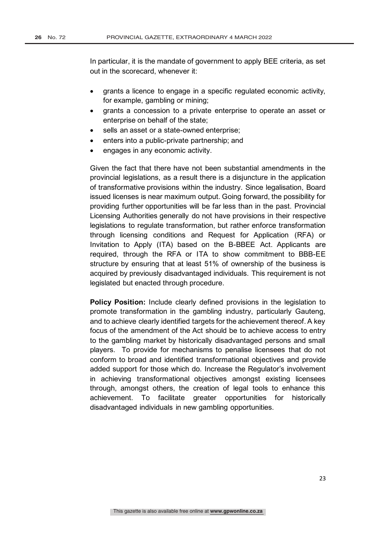In particular, it is the mandate of government to apply BEE criteria, as set out in the scorecard, whenever it:

- grants a licence to engage in a specific regulated economic activity, for example, gambling or mining;
- grants a concession to a private enterprise to operate an asset or enterprise on behalf of the state;
- sells an asset or a state-owned enterprise;
- enters into a public-private partnership; and
- engages in any economic activity.

Given the fact that there have not been substantial amendments in the provincial legislations, as a result there is a disjuncture in the application of transformative provisions within the industry. Since legalisation, Board issued licenses is near maximum output. Going forward, the possibility for providing further opportunities will be far less than in the past. Provincial Licensing Authorities generally do not have provisions in their respective legislations to regulate transformation, but rather enforce transformation through licensing conditions and Request for Application (RFA) or Invitation to Apply (ITA) based on the B-BBEE Act. Applicants are required, through the RFA or ITA to show commitment to BBB-EE structure by ensuring that at least 51% of ownership of the business is acquired by previously disadvantaged individuals. This requirement is not legislated but enacted through procedure.

**Policy Position:** Include clearly defined provisions in the legislation to promote transformation in the gambling industry, particularly Gauteng, and to achieve clearly identified targets for the achievement thereof. A key focus of the amendment of the Act should be to achieve access to entry to the gambling market by historically disadvantaged persons and small players. To provide for mechanisms to penalise licensees that do not conform to broad and identified transformational objectives and provide added support for those which do. Increase the Regulator's involvement in achieving transformational objectives amongst existing licensees through, amongst others, the creation of legal tools to enhance this achievement. To facilitate greater opportunities for historically disadvantaged individuals in new gambling opportunities.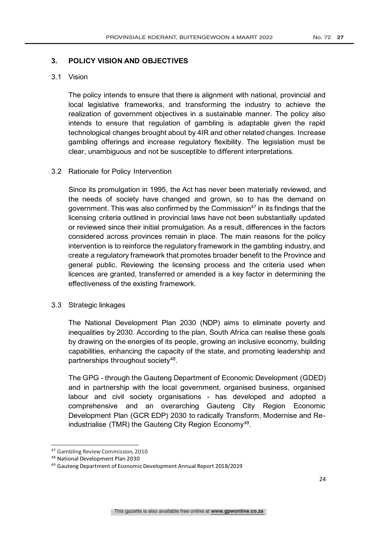### **3. POLICY VISION AND OBJECTIVES**

### 3.1 Vision

The policy intends to ensure that there is alignment with national, provincial and local legislative frameworks, and transforming the industry to achieve the realization of government objectives in a sustainable manner. The policy also intends to ensure that regulation of gambling is adaptable given the rapid technological changes brought about by 4IR and other related changes. Increase gambling offerings and increase regulatory flexibility. The legislation must be clear, unambiguous and not be susceptible to different interpretations.

### 3.2 Rationale for Policy Intervention

Since its promulgation in 1995, the Act has never been materially reviewed, and the needs of society have changed and grown, so to has the demand on government. This was also confirmed by the Commission<sup>47</sup> in its findings that the licensing criteria outlined in provincial laws have not been substantially updated or reviewed since their initial promulgation. As a result, differences in the factors considered across provinces remain in place. The main reasons for the policy intervention is to reinforce the regulatory framework in the gambling industry, and create a regulatory framework that promotes broader benefit to the Province and general public. Reviewing the licensing process and the criteria used when licences are granted, transferred or amended is a key factor in determining the effectiveness of the existing framework.

### 3.3 Strategic linkages

The National Development Plan 2030 (NDP) aims to eliminate poverty and inequalities by 2030. According to the plan, South Africa can realise these goals by drawing on the energies of its people, growing an inclusive economy, building capabilities, enhancing the capacity of the state, and promoting leadership and partnerships throughout society<sup>48</sup>.

The GPG - through the Gauteng Department of Economic Development (GDED) and in partnership with the local government, organised business, organised labour and civil society organisations - has developed and adopted a comprehensive and an overarching Gauteng City Region Economic Development Plan (GCR EDP) 2030 to radically Transform, Modernise and Reindustrialise (TMR) the Gauteng City Region Economy<sup>49</sup>.

<sup>47</sup> Gambling Review Commission, 2010

<sup>48</sup> National Development Plan 2030

<sup>49</sup> Gauteng Department of Economic Development Annual Report 2018/2019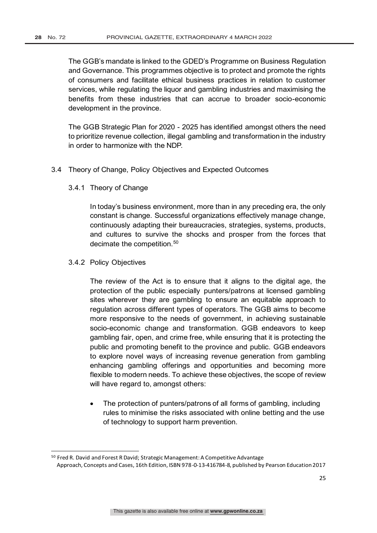The GGB's mandate is linked to the GDED's Programme on Business Regulation and Governance. This programmes objective is to protect and promote the rights of consumers and facilitate ethical business practices in relation to customer services, while regulating the liquor and gambling industries and maximising the benefits from these industries that can accrue to broader socio-economic development in the province.

The GGB Strategic Plan for 2020 - 2025 has identified amongst others the need to prioritize revenue collection, illegal gambling and transformation in the industry in order to harmonize with the NDP.

### 3.4 Theory of Change, Policy Objectives and Expected Outcomes

3.4.1 Theory of Change

In today's business environment, more than in any preceding era, the only constant is change. Successful organizations effectively manage change, continuously adapting their bureaucracies, strategies, systems, products, and cultures to survive the shocks and prosper from the forces that decimate the competition.<sup>50</sup>

### 3.4.2 Policy Objectives

The review of the Act is to ensure that it aligns to the digital age, the protection of the public especially punters/patrons at licensed gambling sites wherever they are gambling to ensure an equitable approach to regulation across different types of operators. The GGB aims to become more responsive to the needs of government, in achieving sustainable socio-economic change and transformation. GGB endeavors to keep gambling fair, open, and crime free, while ensuring that it is protecting the public and promoting benefit to the province and public. GGB endeavors to explore novel ways of increasing revenue generation from gambling enhancing gambling offerings and opportunities and becoming more flexible to modern needs. To achieve these objectives, the scope of review will have regard to, amongst others:

• The protection of punters/patrons of all forms of gambling, including rules to minimise the risks associated with online betting and the use of technology to support harm prevention.

<sup>&</sup>lt;sup>50</sup> Fred R. David and Forest R David; Strategic Management: A Competitive Advantage Approach, Concepts and Cases, 16th Edition, ISBN 978-0-13-416784-8, published by Pearson Education 2017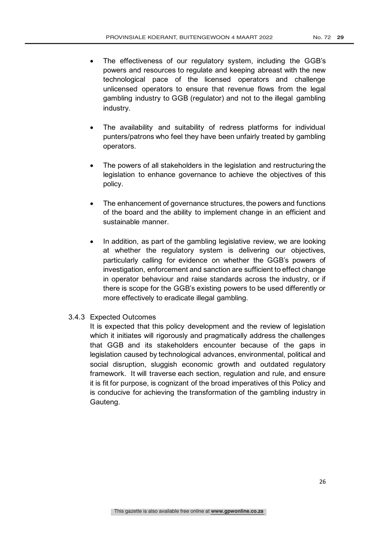- The effectiveness of our regulatory system, including the GGB's powers and resources to regulate and keeping abreast with the new technological pace of the licensed operators and challenge unlicensed operators to ensure that revenue flows from the legal gambling industry to GGB (regulator) and not to the illegal gambling industry.
- The availability and suitability of redress platforms for individual punters/patrons who feel they have been unfairly treated by gambling operators.
- The powers of all stakeholders in the legislation and restructuring the legislation to enhance governance to achieve the objectives of this policy.
- The enhancement of governance structures, the powers and functions of the board and the ability to implement change in an efficient and sustainable manner.
- In addition, as part of the gambling legislative review, we are looking at whether the regulatory system is delivering our objectives, particularly calling for evidence on whether the GGB's powers of investigation, enforcement and sanction are sufficient to effect change in operator behaviour and raise standards across the industry, or if there is scope for the GGB's existing powers to be used differently or more effectively to eradicate illegal gambling.
- 3.4.3 Expected Outcomes

It is expected that this policy development and the review of legislation which it initiates will rigorously and pragmatically address the challenges that GGB and its stakeholders encounter because of the gaps in legislation caused by technological advances, environmental, political and social disruption, sluggish economic growth and outdated regulatory framework. It will traverse each section, regulation and rule, and ensure it is fit for purpose, is cognizant of the broad imperatives of this Policy and is conducive for achieving the transformation of the gambling industry in Gauteng.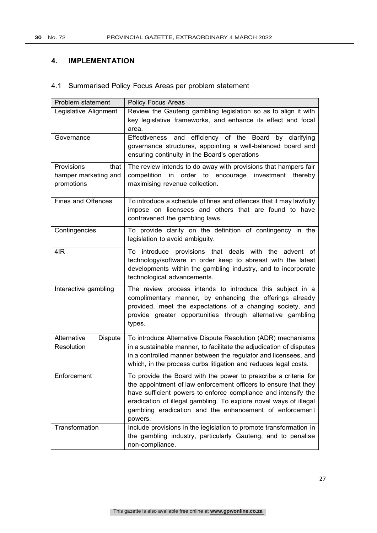### **4. IMPLEMENTATION**

### 4.1 Summarised Policy Focus Areas per problem statement

| Problem statement             | <b>Policy Focus Areas</b>                                                                                                          |
|-------------------------------|------------------------------------------------------------------------------------------------------------------------------------|
| Legislative Alignment         | Review the Gauteng gambling legislation so as to align it with                                                                     |
|                               | key legislative frameworks, and enhance its effect and focal                                                                       |
|                               | area.                                                                                                                              |
| Governance                    | and efficiency of the Board by clarifying<br><b>Effectiveness</b>                                                                  |
|                               | governance structures, appointing a well-balanced board and                                                                        |
|                               | ensuring continuity in the Board's operations                                                                                      |
| Provisions<br>that            | The review intends to do away with provisions that hampers fair                                                                    |
| hamper marketing and          | competition in order to encourage investment<br>thereby                                                                            |
| promotions                    | maximising revenue collection.                                                                                                     |
|                               |                                                                                                                                    |
| <b>Fines and Offences</b>     | To introduce a schedule of fines and offences that it may lawfully                                                                 |
|                               | impose on licensees and others that are found to have                                                                              |
|                               | contravened the gambling laws.                                                                                                     |
| Contingencies                 | To provide clarity on the definition of contingency in the                                                                         |
|                               | legislation to avoid ambiguity.                                                                                                    |
| 4IR                           | provisions that deals with the advent of<br>To introduce                                                                           |
|                               | technology/software in order keep to abreast with the latest                                                                       |
|                               | developments within the gambling industry, and to incorporate                                                                      |
|                               | technological advancements.                                                                                                        |
| Interactive gambling          | The review process intends to introduce this subject in a                                                                          |
|                               | complimentary manner, by enhancing the offerings already                                                                           |
|                               | provided, meet the expectations of a changing society, and                                                                         |
|                               | provide greater opportunities through alternative gambling                                                                         |
|                               | types.                                                                                                                             |
|                               |                                                                                                                                    |
| Alternative<br><b>Dispute</b> | To introduce Alternative Dispute Resolution (ADR) mechanisms                                                                       |
| Resolution                    | in a sustainable manner, to facilitate the adjudication of disputes                                                                |
|                               | in a controlled manner between the regulator and licensees, and                                                                    |
|                               | which, in the process curbs litigation and reduces legal costs.                                                                    |
| Enforcement                   | To provide the Board with the power to prescribe a criteria for                                                                    |
|                               | the appointment of law enforcement officers to ensure that they                                                                    |
|                               | have sufficient powers to enforce compliance and intensify the                                                                     |
|                               | eradication of illegal gambling. To explore novel ways of illegal                                                                  |
|                               | gambling eradication and the enhancement of enforcement                                                                            |
| Transformation                | powers.                                                                                                                            |
|                               | Include provisions in the legislation to promote transformation in<br>the gambling industry, particularly Gauteng, and to penalise |
|                               | non-compliance.                                                                                                                    |
|                               |                                                                                                                                    |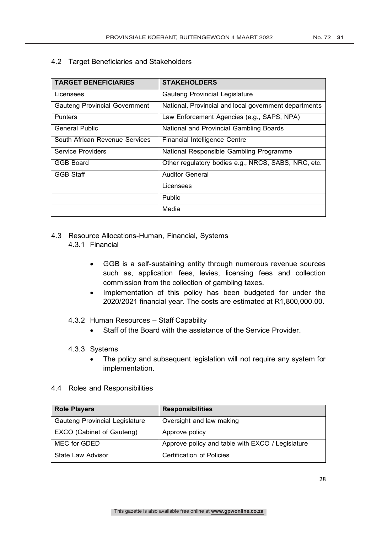4.2 Target Beneficiaries and Stakeholders

| <b>TARGET BENEFICIARIES</b>          | <b>STAKEHOLDERS</b>                                   |
|--------------------------------------|-------------------------------------------------------|
| Licensees                            | Gauteng Provincial Legislature                        |
| <b>Gauteng Provincial Government</b> | National, Provincial and local government departments |
| <b>Punters</b>                       | Law Enforcement Agencies (e.g., SAPS, NPA)            |
| <b>General Public</b>                | National and Provincial Gambling Boards               |
| South African Revenue Services       | Financial Intelligence Centre                         |
| Service Providers                    | National Responsible Gambling Programme               |
| GGB Board                            | Other regulatory bodies e.g., NRCS, SABS, NRC, etc.   |
| <b>GGB Staff</b>                     | <b>Auditor General</b>                                |
|                                      | Licensees                                             |
|                                      | <b>Public</b>                                         |
|                                      | Media                                                 |

- 4.3 Resource Allocations-Human, Financial, Systems
	- 4.3.1 Financial
		- GGB is a self-sustaining entity through numerous revenue sources such as, application fees, levies, licensing fees and collection commission from the collection of gambling taxes.
		- Implementation of this policy has been budgeted for under the 2020/2021 financial year. The costs are estimated at R1,800,000.00.
	- 4.3.2 Human Resources Staff Capability
		- Staff of the Board with the assistance of the Service Provider.
	- 4.3.3 Systems
		- The policy and subsequent legislation will not require any system for implementation.
- 4.4 Roles and Responsibilities

| <b>Role Players</b>            | <b>Responsibilities</b>                          |
|--------------------------------|--------------------------------------------------|
| Gauteng Provincial Legislature | Oversight and law making                         |
| EXCO (Cabinet of Gauteng)      | Approve policy                                   |
| MEC for GDED                   | Approve policy and table with EXCO / Legislature |
| State Law Advisor              | Certification of Policies                        |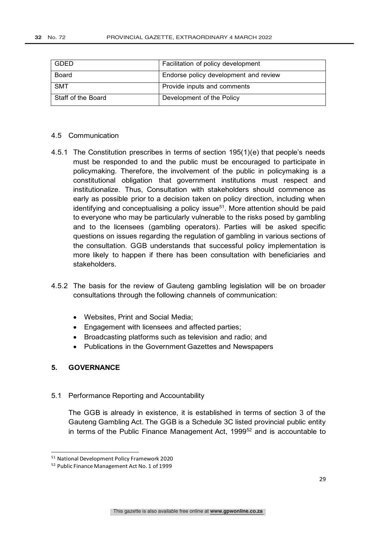| <b>GDED</b>        | Facilitation of policy development    |
|--------------------|---------------------------------------|
| Board              | Endorse policy development and review |
| <b>SMT</b>         | Provide inputs and comments           |
| Staff of the Board | Development of the Policy             |

#### 4.5 Communication

- 4.5.1 The Constitution prescribes in terms of section 195(1)(e) that people's needs must be responded to and the public must be encouraged to participate in policymaking. Therefore, the involvement of the public in policymaking is a constitutional obligation that government institutions must respect and institutionalize. Thus, Consultation with stakeholders should commence as early as possible prior to a decision taken on policy direction, including when identifying and conceptualising a policy issue $51$ . More attention should be paid to everyone who may be particularly vulnerable to the risks posed by gambling and to the licensees (gambling operators). Parties will be asked specific questions on issues regarding the regulation of gambling in various sections of the consultation. GGB understands that successful policy implementation is more likely to happen if there has been consultation with beneficiaries and stakeholders.
- 4.5.2 The basis for the review of Gauteng gambling legislation will be on broader consultations through the following channels of communication:
	- Websites, Print and Social Media;
	- Engagement with licensees and affected parties;
	- Broadcasting platforms such as television and radio; and
	- Publications in the Government Gazettes and Newspapers

### **5. GOVERNANCE**

5.1 Performance Reporting and Accountability

The GGB is already in existence, it is established in terms of section 3 of the Gauteng Gambling Act. The GGB is a Schedule 3C listed provincial public entity in terms of the Public Finance Management Act, 1999<sup>52</sup> and is accountable to

<sup>51</sup> National Development Policy Framework 2020

<sup>52</sup> Public Finance Management Act No. 1 of 1999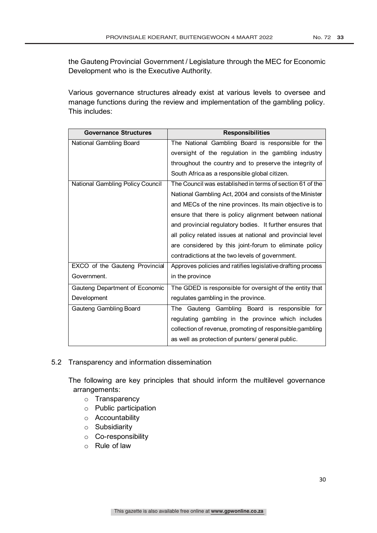the Gauteng Provincial Government / Legislature through the MEC for Economic Development who is the Executive Authority.

Various governance structures already exist at various levels to oversee and manage functions during the review and implementation of the gambling policy. This includes:

| <b>Governance Structures</b>     | <b>Responsibilities</b>                                     |
|----------------------------------|-------------------------------------------------------------|
| National Gambling Board          | The National Gambling Board is responsible for the          |
|                                  | oversight of the regulation in the gambling industry        |
|                                  | throughout the country and to preserve the integrity of     |
|                                  | South Africa as a responsible global citizen.               |
| National Gambling Policy Council | The Council was established in terms of section 61 of the   |
|                                  | National Gambling Act, 2004 and consists of the Minister    |
|                                  | and MECs of the nine provinces. Its main objective is to    |
|                                  | ensure that there is policy alignment between national      |
|                                  | and provincial regulatory bodies. It further ensures that   |
|                                  | all policy related issues at national and provincial level  |
|                                  | are considered by this joint-forum to eliminate policy      |
|                                  | contradictions at the two levels of government.             |
| EXCO of the Gauteng Provincial   | Approves policies and ratifies legislative drafting process |
| Government.                      | in the province                                             |
| Gauteng Department of Economic   | The GDED is responsible for oversight of the entity that    |
| Development                      | regulates gambling in the province.                         |
| Gauteng Gambling Board           | The Gauteng Gambling Board is responsible for               |
|                                  | regulating gambling in the province which includes          |
|                                  | collection of revenue, promoting of responsible gambling    |
|                                  | as well as protection of punters/ general public.           |

5.2 Transparency and information dissemination

The following are key principles that should inform the multilevel governance arrangements:

- o Transparency
- o Public participation
- o Accountability
- o Subsidiarity
- o Co-responsibility
- o Rule of law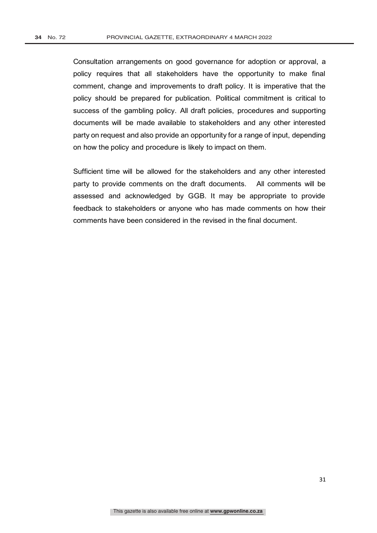Consultation arrangements on good governance for adoption or approval, a policy requires that all stakeholders have the opportunity to make final comment, change and improvements to draft policy. It is imperative that the policy should be prepared for publication. Political commitment is critical to success of the gambling policy. All draft policies, procedures and supporting documents will be made available to stakeholders and any other interested party on request and also provide an opportunity for a range of input, depending on how the policy and procedure is likely to impact on them.

Sufficient time will be allowed for the stakeholders and any other interested party to provide comments on the draft documents. All comments will be assessed and acknowledged by GGB. It may be appropriate to provide feedback to stakeholders or anyone who has made comments on how their comments have been considered in the revised in the final document.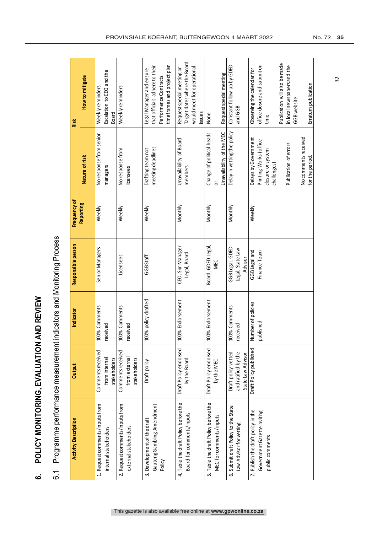| ļ                  |
|--------------------|
| $\frac{1}{2}$      |
|                    |
|                    |
|                    |
| $\frac{1}{2}$      |
|                    |
| י                  |
| $\frac{1}{2}$      |
|                    |
| ミニ                 |
|                    |
| $rac{1}{6}$        |
|                    |
|                    |
|                    |
|                    |
|                    |
| index<br><         |
|                    |
| <b>POI ICY</b>     |
|                    |
|                    |
|                    |
| $\dot{\mathbf{c}}$ |

| rogramme performance measurement indicators and Monitoring Process |
|--------------------------------------------------------------------|
|                                                                    |
|                                                                    |
|                                                                    |
|                                                                    |
| ĺ                                                                  |
| $\tilde{\circ}$                                                    |

| <b>Activity Description</b>                              | Output                             | Indicator                 | Responsible person | Frequency of |                                     | Risk                                                 |
|----------------------------------------------------------|------------------------------------|---------------------------|--------------------|--------------|-------------------------------------|------------------------------------------------------|
|                                                          |                                    |                           |                    |              |                                     |                                                      |
|                                                          |                                    |                           |                    | Reporting    | Nature of risk                      | How to mitigate                                      |
| 1. Request comments/inputs from<br>internal stakeholders | Comments received<br>from internal | 100% Comments<br>received | Senior Managers    | Weekly       | No response from senior<br>managers | Escalation to CEO and the<br>Weekly reminders        |
|                                                          | stakeholders                       |                           |                    |              |                                     | Board                                                |
| 2. Request comments/inputs from                          | Comments received                  | 100% Comments             | Licensees          | Weekly       | No response from                    | Weekly reminders                                     |
| external stakeholders                                    | from external<br>stakeholders      | received                  |                    |              | licensees                           |                                                      |
| 3. Development of the draft                              | Draft policy                       | 100% policy drafted       | GGBStaff           | Weekly       | Drafting team not                   | Legal Manager and ensure                             |
| Gauteng Gambling Amendment                               |                                    |                           |                    |              | meeting deadlines                   | that officials adhere to their                       |
| Policy                                                   |                                    |                           |                    |              |                                     | timeframes and project plan<br>Performance Contracts |
|                                                          |                                    | 100% Endorsement          |                    |              |                                     |                                                      |
| 4. Table the draft Policy before the                     | Draft Policy endorsed              |                           | CEO, Snr Manager   | Monthly      | Unavailability of Board             | Request special meeting or                           |
| Board for comments/inputs                                | by the Board                       |                           | Legal, Board       |              | members                             | Target dates where the Board                         |
|                                                          |                                    |                           |                    |              |                                     | would meet for operational<br>issues                 |
|                                                          |                                    |                           |                    |              |                                     |                                                      |
| 5. Table the draft Policy before the                     | Draft Policy endorsed              | 100% Endorsement          | Board, GDED Legal, | Monthly      | Change of political heads           | None                                                 |
| MEC for comments/inputs                                  | by the MEC                         |                           | MEC                |              | ៑                                   |                                                      |
|                                                          |                                    |                           |                    |              | Unavailability of the MEC           | Request special meeting                              |
| 6. Submit draft Policy to the State                      | Draft policy vetted                | 100% Comments             | GGB Legal, GDED    | Monthly      | Delay in vetting the policy         | Constant follow up by GDED                           |
| Law Advisor for vetting                                  | and ratified by the                | received                  | Legal, State Law   |              |                                     | and GGB                                              |
|                                                          | State Law Advisor                  |                           | Advisor            |              |                                     |                                                      |
| 7. Publish the draft policy in the                       | Draft Policy published             | Number of policies        | GGB Legal and      | Weekly       | Delays by Government                | Observing the calendar for                           |
| Government Gazette inviting                              |                                    | published                 | Finance Team       |              | Printing Works (office              | office closure and submit on                         |
| public comments                                          |                                    |                           |                    |              | closure or system                   | time                                                 |
|                                                          |                                    |                           |                    |              | challenges)                         |                                                      |
|                                                          |                                    |                           |                    |              |                                     | Publication will also be made                        |
|                                                          |                                    |                           |                    |              | Publication of errors               | in local newspapers and the                          |
|                                                          |                                    |                           |                    |              |                                     | GGB website                                          |
|                                                          |                                    |                           |                    |              | No comments received                |                                                      |
|                                                          |                                    |                           |                    |              | for the period.                     | Erratum publication                                  |

32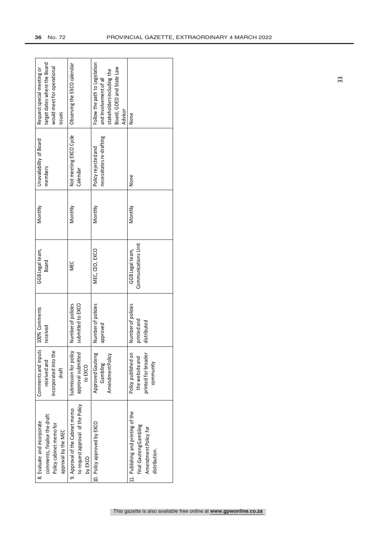| 8. Evaluate and incorporate        | Comments and inputs   | 100% Comments      | GGBLegal team,      | Monthly | Unavailability of Board  | Request special meeting or     |
|------------------------------------|-----------------------|--------------------|---------------------|---------|--------------------------|--------------------------------|
| comments, finalise the draft       | receivedand           | received           | Board               |         | members                  | target dates where the Board   |
| Policy cabinet memo for            | incorporated into the |                    |                     |         |                          | would meet for operational     |
| approval by the MEC                | draft                 |                    |                     |         |                          | issues                         |
| 9. Approval of the Cabinet memo    | Submission for policy | Number of policies | <b>NEC</b>          | Monthly | Not meeting EXCO Cycle   | Observing the EXCO calendar    |
| to request approval of the Policy  | approval submitted    | submitted to EXCO  |                     |         | Calendar                 |                                |
| by EXCO                            | to EXCO               |                    |                     |         |                          |                                |
| 10. Policy approved by EXCO        | Approved Gauteng      | Number of policies | MEC, CEO, EXCO      | Monthly | Policy rejected and      | Follow the path to Legislation |
|                                    | Gambling              | approved           |                     |         | necessitates re-drafting | and Involvement of all         |
|                                    | Amendment Policy      |                    |                     |         |                          | stakeholders including the     |
|                                    |                       |                    |                     |         |                          | Board, GDED and State Law      |
|                                    |                       |                    |                     |         |                          | Advisor                        |
| 11. Publishing and printing of the | Policy published on   | Number of policies | GGBLegal team,      | Monthly | None                     | None                           |
| final Gauteng Gambling             | the website and       | printed and        | Communications Unit |         |                          |                                |
| Amendment Policy for               | printed for broader   | distributed        |                     |         |                          |                                |
| distribution.                      | community             |                    |                     |         |                          |                                |
|                                    |                       |                    |                     |         |                          |                                |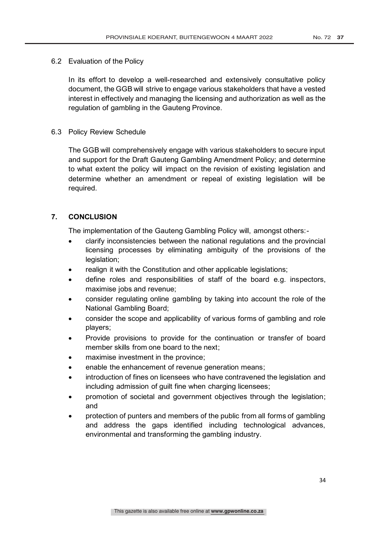### 6.2 Evaluation of the Policy

In its effort to develop a well-researched and extensively consultative policy document, the GGB will strive to engage various stakeholders that have a vested interest in effectively and managing the licensing and authorization as well as the regulation of gambling in the Gauteng Province.

### 6.3 Policy Review Schedule

The GGB will comprehensively engage with various stakeholders to secure input and support for the Draft Gauteng Gambling Amendment Policy; and determine to what extent the policy will impact on the revision of existing legislation and determine whether an amendment or repeal of existing legislation will be required.

### **7. CONCLUSION**

The implementation of the Gauteng Gambling Policy will, amongst others:-

- clarify inconsistencies between the national regulations and the provincial licensing processes by eliminating ambiguity of the provisions of the legislation;
- realign it with the Constitution and other applicable legislations;
- define roles and responsibilities of staff of the board e.g. inspectors, maximise jobs and revenue;
- consider regulating online gambling by taking into account the role of the National Gambling Board;
- consider the scope and applicability of various forms of gambling and role players;
- Provide provisions to provide for the continuation or transfer of board member skills from one board to the next;
- maximise investment in the province;
- enable the enhancement of revenue generation means;
- introduction of fines on licensees who have contravened the legislation and including admission of guilt fine when charging licensees;
- promotion of societal and government objectives through the legislation; and
- protection of punters and members of the public from all forms of gambling and address the gaps identified including technological advances, environmental and transforming the gambling industry.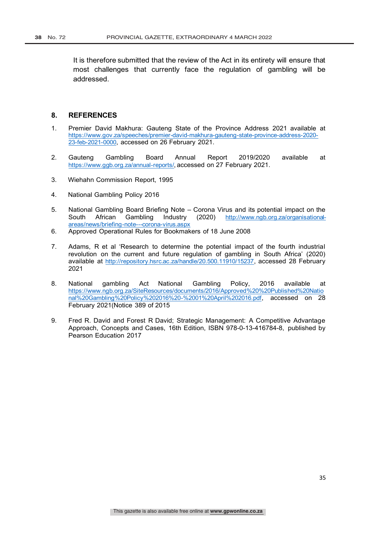It is therefore submitted that the review of the Act in its entirety will ensure that most challenges that currently face the regulation of gambling will be addressed.

#### **8. REFERENCES**

- 1. Premier David Makhura: Gauteng State of the Province Address 2021 available at https://www.gov.za/speeches/premier-david-makhura-gauteng-state-province-address-2020- 23-feb-2021-0000, accessed on 26 February 2021.
- 2. Gauteng Gambling Board Annual Report 2019/2020 available at https://www.ggb.org.za/annual-reports/, accessed on 27 February 2021.
- 3. Wiehahn Commission Report, 1995
- 4. National Gambling Policy 2016
- 5. National Gambling Board Briefing Note Corona Virus and its potential impact on the South African Gambling Industry (2020) http://www.ngb.org.za/organisationalareas/news/briefing-note---corona-virus.aspx
- 6. Approved Operational Rules for Bookmakers of 18 June 2008
- 7. Adams, R et al 'Research to determine the potential impact of the fourth industrial revolution on the current and future regulation of gambling in South Africa' (2020) available at http://repository.hsrc.ac.za/handle/20.500.11910/15237, accessed 28 February 2021
- 8. National gambling Act National Gambling Policy, 2016 available at https://www.ngb.org.za/SiteResources/documents/2016/Approved%20%20Published%20Natio nal%20Gambling%20Policy%202016%20-%2001%20April%202016.pdf, accessed on 28 February 2021(Notice 389 of 2015
- 9. Fred R. David and Forest R David; Strategic Management: A Competitive Advantage Approach, Concepts and Cases, 16th Edition, ISBN 978-0-13-416784-8, published by Pearson Education 2017